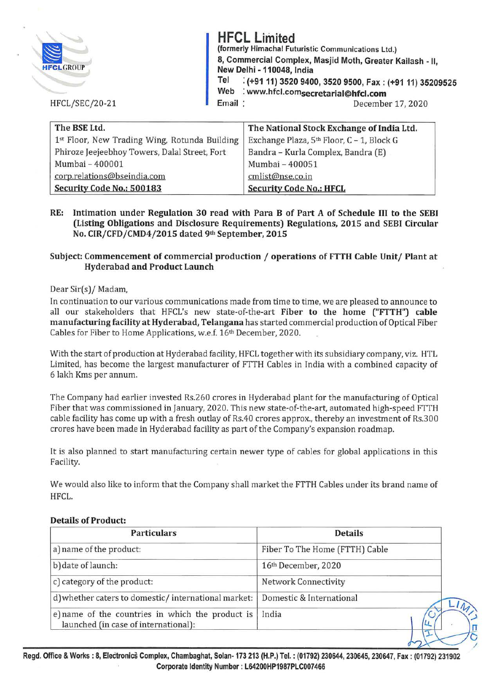|                       | <b>HFCL Limited</b>       | (formerly Himachal Futuristic Communications Ltd.)                                                |
|-----------------------|---------------------------|---------------------------------------------------------------------------------------------------|
| <b>HFCLGROUP</b>      | New Delhi - 110048, India | 8, Commercial Complex, Masjid Moth, Greater Kailash - II.                                         |
|                       | Tel                       | : (+91 11) 3520 9400, 3520 9500, Fax: (+91 11) 35209525<br>Web : www.hfcl.comsecretarial@hfcl.com |
| <b>HFCL/SEC/20-21</b> | Email:                    | December 17, 2020                                                                                 |
|                       |                           |                                                                                                   |

| The BSE Ltd.                                  | The National Stock Exchange of India Ltd. |
|-----------------------------------------------|-------------------------------------------|
| 1st Floor, New Trading Wing, Rotunda Building | Exchange Plaza, 5th Floor, C - 1, Block G |
| Phiroze Jeejeebhoy Towers, Dalal Street, Fort | Bandra - Kurla Complex, Bandra (E)        |
| Mumbai - 400001                               | Mumbai - 400051                           |
| corp.relations@bseindia.com                   | cmlist@nse.co.in                          |
| Security Code No.: 500183                     | <b>Security Code No.: HFCL</b>            |

### **RE: Intimation under Regulation 30 read with Para B of Part A of Schedule** III **to the SEBI (Listing Obligations and Disclosure Requirements) Regulations, 2015 and SEBI Circular No. CIR/CFD/CMD4/2015 dated 9th September, 2015**

## **Subject: Commencement of commercial production** / **operations of FTTH Cable Unit/ Plant at Hyderabad and Product Launch**

### Dear Sir(s)/ Madam,

In continuation to our various communications made from time to time, we are pleased to announce to all our stakeholders that HFCL's new state-of-the-art **Fiber to the home ("FTTH") cable manufacturing facility at Hyderabad, Telangana** has started commercial production of Optical Fiber Cables for Fiber to Home Applications, w.e.f. 16th December, 2020.

With the start of production at Hyderabad facility, HFCL together with its subsidiary company, viz. HTL Limited, has become the largest manufacturer of FTTH Cables in India with a combined capacity of 6 lakh Kms per annum.

The Company had earlier invested Rs.260 crores in Hyderabad plant for the manufacturing of Optical Fiber that was commissioned in January, 2020. This new state-of-the-art, automated high-speed FTTH cable facility has come up with a fresh outlay of Rs.40 crores approx., thereby an investment of Rs.300 crores have been made in Hyderabad facility as part of the Company's expansion roadmap.

It is also planned to start manufacturing certain newer type of cables for global applications in this Facility.

We would also like to inform that the Company shall market the FTTH Cables under its brand name of HFCL.

| <b>Particulars</b>                                                                       | <b>Details</b>                 |
|------------------------------------------------------------------------------------------|--------------------------------|
| a) name of the product:                                                                  | Fiber To The Home (FTTH) Cable |
| b) date of launch:                                                                       | 16th December, 2020            |
| c) category of the product:                                                              | <b>Network Connectivity</b>    |
| d) whether caters to domestic/international market:                                      | Domestic & International       |
| e) name of the countries in which the product is<br>launched (in case of international): | India                          |
|                                                                                          |                                |

### **Details of Product:**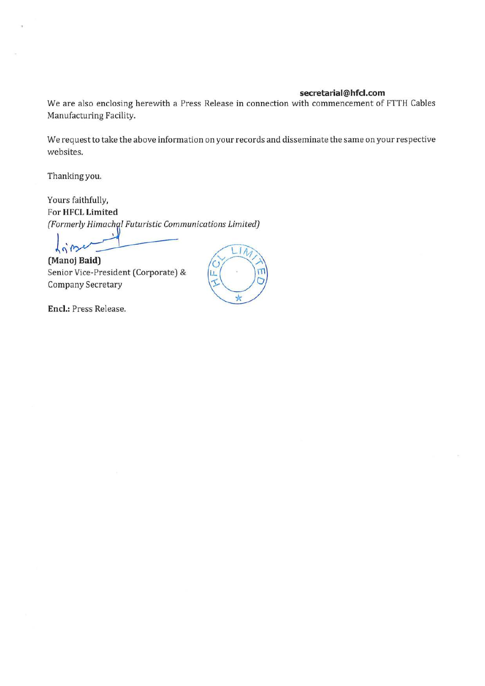#### **secretarial@hfcl.com**

We are also enclosing herewith a Press Release in connection with commencement of FTTH Cables Manufacturing Facility.

We request to take the above information on your records and disseminate the same on your respective websites.

Thanking you.

Yours faithfully, For **HFCL Limited**  *(Formerly Himachal Futuristic Communications Limited)* 

 $\frac{1}{1}$ 

**(Manoj Baid)**<br>
Senior Vice-President (Corporate) & Senior Vice-President (Corporate) & Company Secretary

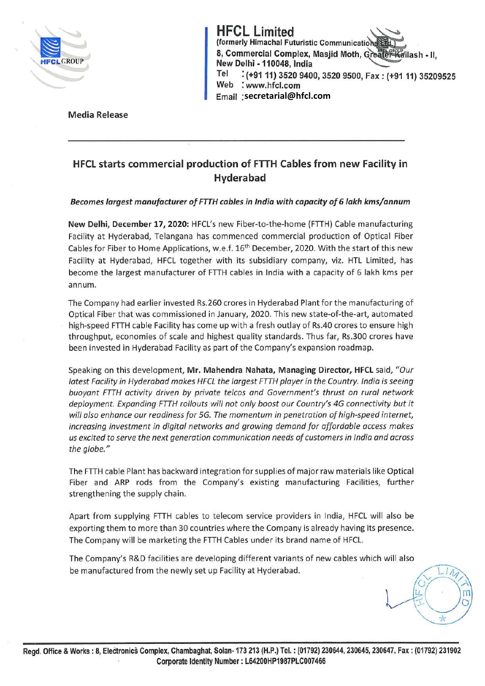

E (formerly Himachal Futuristic Communication (1)<br>
8, Commercial Complex, Masjid Moth, Greater Kailash - II,<br>
New Delhi - 110048, India **HFCL Limited**<br>(formerly Himachal Futuristic Communicatio) Tel : (+9111) 3520 9400, 3520 9500, Fax: (+9111) 35209525 Web : www.hfcl.com Email **secretarial@hfcl.com**

Media Release

# **HFCL starts commercial production of FTTH Cables from new Facility in Hyderabad**

#### *Becomes largest manufacturer of FTTH cables in India with capacity of* **6** *lakh kms/annum*

**New Delhi, December 17, 2020:** HFCL's new Fiber-to-the-home (FTTH) Cable manufacturing Facility at Hyderabad, Telangana has commenced commercial production of Optical Fiber Cables for Fiber to Home Applications, w.e.f. 16<sup>th</sup> December, 2020. With the start of this new Facility at Hyderabad, HFCL together with its subsidiary company, viz. HTL Limited, has become the largest manufacturer of FTTH cables in India with a capacity of 6 lakh kms per annum.

The Company had earlier invested Rs.260 crores in Hyderabad Plant for the manufacturing of Optical Fiber that was commissioned in January, 2020. This new state-of-the-art, automated high-speed FTTH cable Facility has come up with a fresh outlay of Rs.40 crores to ensure high throughput, economies of scale and highest quality standards. Thus far, Rs.300 crores have been invested in Hyderabad Facility as part of the Company's expansion roadmap.

Speaking on this development, **Mr. Mahendra Nahata, Managing Director, HFCL** said, *"Our latest Facility in Hyderabad makes HFCL the largest FTTH player in the Country. India is seeing buoyant FTTH activity driven by private telcos and Government's thrust on rural network deployment. Expanding FTTH rollouts will not only boost our Country's 4G connectivity but it will also enhance our readiness for SG. The momentum in penetration of high-speed internet, increasing investment in digital networks and growing demand for affordable access makes us excited to serve the next generation communication needs of customers in India and across the globe."* 

The FTTH cable Plant has backward integration for supplies of major raw materials like Optical Fiber and ARP rods from the Company's existing manufacturing Facilities, further strengthening the supply chain.

Apart from supplying FTTH cables to telecom service providers in India, HFCL will also be exporting them to more than 30 countries where the Company is already having its presence. The Company will be marketing the FTTH Cables under its brand name of HFCL.

The Company's R&D facilities are developing different variants of new cables which will also be manufactured from the newly set up Facility at Hyderabad.  $\frac{1}{4}$ 

 $\mu$   $\pi$  $I\setminus$ \*